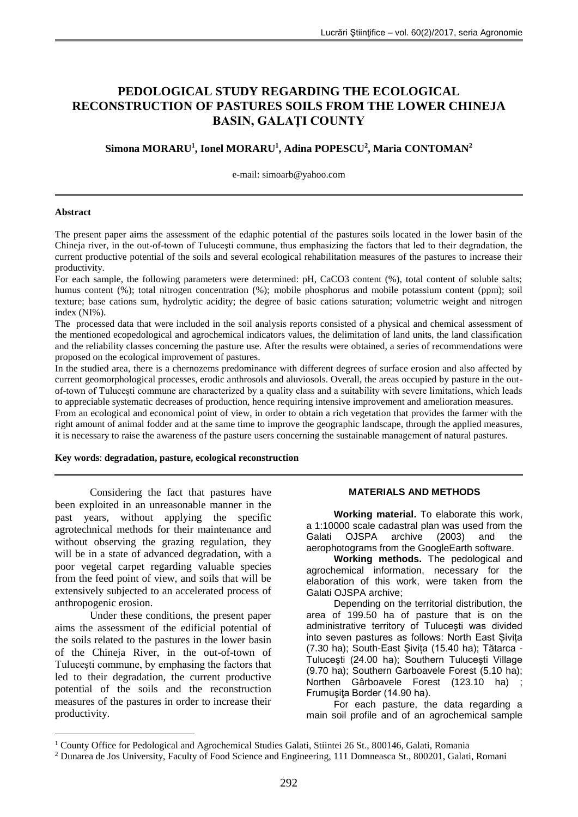# **PEDOLOGICAL STUDY REGARDING THE ECOLOGICAL RECONSTRUCTION OF PASTURES SOILS FROM THE LOWER CHINEJA BASIN, GALAŢI COUNTY**

## **Simona MORARU<sup>1</sup> , Ionel MORARU<sup>1</sup> , Adina POPESCU<sup>2</sup> , Maria CONTOMAN<sup>2</sup>**

e-mail: simoarb@yahoo.com

#### **Abstract**

<u>.</u>

The present paper aims the assessment of the edaphic potential of the pastures soils located in the lower basin of the Chineja river, in the out-of-town of Tuluceşti commune, thus emphasizing the factors that led to their degradation, the current productive potential of the soils and several ecological rehabilitation measures of the pastures to increase their productivity.

For each sample, the following parameters were determined: pH, CaCO3 content (%), total content of soluble salts; humus content (%); total nitrogen concentration (%); mobile phosphorus and mobile potassium content (ppm); soil texture; base cations sum, hydrolytic acidity; the degree of basic cations saturation; volumetric weight and nitrogen index (NI%).

The processed data that were included in the soil analysis reports consisted of a physical and chemical assessment of the mentioned ecopedological and agrochemical indicators values, the delimitation of land units, the land classification and the reliability classes concerning the pasture use. After the results were obtained, a series of recommendations were proposed on the ecological improvement of pastures.

In the studied area, there is a chernozems predominance with different degrees of surface erosion and also affected by current geomorphological processes, erodic anthrosols and aluviosols. Overall, the areas occupied by pasture in the outof-town of Tuluceşti commune are characterized by a quality class and a suitability with severe limitations, which leads to appreciable systematic decreases of production, hence requiring intensive improvement and amelioration measures.

From an ecological and economical point of view, in order to obtain a rich vegetation that provides the farmer with the right amount of animal fodder and at the same time to improve the geographic landscape, through the applied measures, it is necessary to raise the awareness of the pasture users concerning the sustainable management of natural pastures.

### **Key words**: **degradation, pasture, ecological reconstruction**

Considering the fact that pastures have been exploited in an unreasonable manner in the past years, without applying the specific agrotechnical methods for their maintenance and without observing the grazing regulation, they will be in a state of advanced degradation, with a poor vegetal carpet regarding valuable species from the feed point of view, and soils that will be extensively subjected to an accelerated process of anthropogenic erosion.

Under these conditions, the present paper aims the assessment of the edificial potential of the soils related to the pastures in the lower basin of the Chineja River, in the out-of-town of Tuluceşti commune, by emphasing the factors that led to their degradation, the current productive potential of the soils and the reconstruction measures of the pastures in order to increase their productivity.

### **MATERIALS AND METHODS**

**Working material.** To elaborate this work, a 1:10000 scale cadastral plan was used from the Galati OJSPA archive (2003) and the aerophotograms from the GoogleEarth software.

**Working methods.** The pedological and agrochemical information, necessary for the elaboration of this work, were taken from the Galati OJSPA archive;

Depending on the territorial distribution, the area of 199.50 ha of pasture that is on the administrative territory of Tuluceşti was divided into seven pastures as follows: North East Șivița (7.30 ha); South-East Șivița (15.40 ha); Tătarca - Tuluceşti (24.00 ha); Southern Tuluceşti Village (9.70 ha); Southern Garboavele Forest (5.10 ha); Northen Gârboavele Forest (123.10 ha) ; Frumuşiţa Border (14.90 ha).

For each pasture, the data regarding a main soil profile and of an agrochemical sample

<sup>&</sup>lt;sup>1</sup> County Office for Pedological and Agrochemical Studies Galati, Stiintei 26 St., 800146, Galati, Romania

<sup>2</sup> Dunarea de Jos University, Faculty of Food Science and Engineering, 111 Domneasca St., 800201, Galati, Romani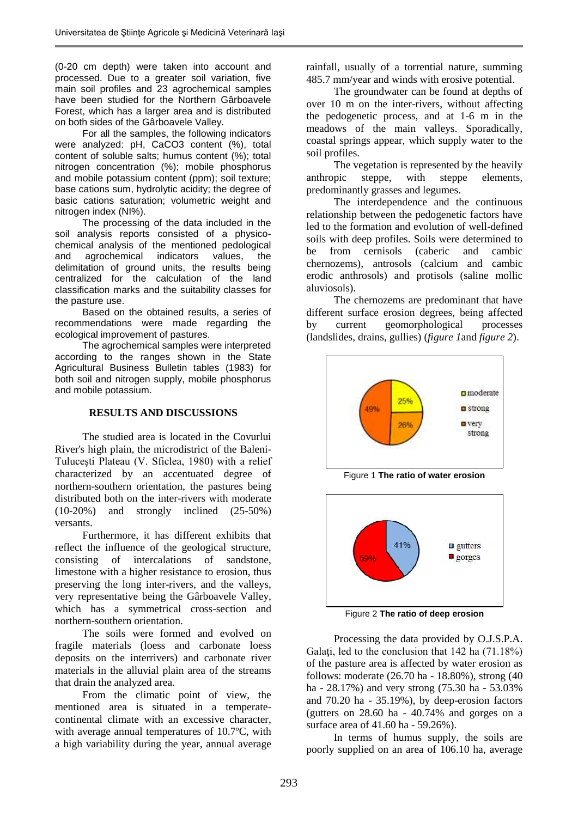(0-20 cm depth) were taken into account and processed. Due to a greater soil variation, five main soil profiles and 23 agrochemical samples have been studied for the Northern Gârboavele Forest, which has a larger area and is distributed on both sides of the Gârboavele Valley.

For all the samples, the following indicators were analyzed: pH, CaCO3 content (%), total content of soluble salts; humus content (%); total nitrogen concentration (%); mobile phosphorus and mobile potassium content (ppm); soil texture; base cations sum, hydrolytic acidity; the degree of basic cations saturation; volumetric weight and nitrogen index (NI%).

The processing of the data included in the soil analysis reports consisted of a physicochemical analysis of the mentioned pedological and agrochemical indicators values, the delimitation of ground units, the results being centralized for the calculation of the land classification marks and the suitability classes for the pasture use.

Based on the obtained results, a series of recommendations were made regarding the ecological improvement of pastures.

The agrochemical samples were interpreted according to the ranges shown in the State Agricultural Business Bulletin tables (1983) for both soil and nitrogen supply, mobile phosphorus and mobile potassium.

## **RESULTS AND DISCUSSIONS**

The studied area is located in the Covurlui River's high plain, the microdistrict of the Baleni-Tuluceşti Plateau (V. Sficlea, 1980) with a relief characterized by an accentuated degree of northern-southern orientation, the pastures being distributed both on the inter-rivers with moderate (10-20%) and strongly inclined (25-50%) versants.

Furthermore, it has different exhibits that reflect the influence of the geological structure, consisting of intercalations of sandstone, limestone with a higher resistance to erosion, thus preserving the long inter-rivers, and the valleys, very representative being the Gârboavele Valley, which has a symmetrical cross-section and northern-southern orientation.

The soils were formed and evolved on fragile materials (loess and carbonate loess deposits on the interrivers) and carbonate river materials in the alluvial plain area of the streams that drain the analyzed area.

From the climatic point of view, the mentioned area is situated in a temperatecontinental climate with an excessive character, with average annual temperatures of 10.7ºC, with a high variability during the year, annual average

rainfall, usually of a torrential nature, summing 485.7 mm/year and winds with erosive potential.

The groundwater can be found at depths of over 10 m on the inter-rivers, without affecting the pedogenetic process, and at 1-6 m in the meadows of the main valleys. Sporadically, coastal springs appear, which supply water to the soil profiles.

The vegetation is represented by the heavily anthropic steppe, with steppe elements, predominantly grasses and legumes.

The interdependence and the continuous relationship between the pedogenetic factors have led to the formation and evolution of well-defined soils with deep profiles. Soils were determined to be from cernisols (caberic and cambic chernozems), antrosols (calcium and cambic erodic anthrosols) and protisols (saline mollic aluviosols).

The chernozems are predominant that have different surface erosion degrees, being affected by current geomorphological processes (landslides, drains, gullies) (*figure 1*and *figure 2*).



Figure 1 **The ratio of water erosion**



Figure 2 **The ratio of deep erosion**

Processing the data provided by O.J.S.P.A. Galați, led to the conclusion that 142 ha (71.18%) of the pasture area is affected by water erosion as follows: moderate (26.70 ha - 18.80%), strong (40 ha - 28.17%) and very strong (75.30 ha - 53.03% and 70.20 ha - 35.19%), by deep-erosion factors (gutters on 28.60 ha - 40.74% and gorges on a surface area of 41.60 ha - 59.26%).

In terms of humus supply, the soils are poorly supplied on an area of 106.10 ha, average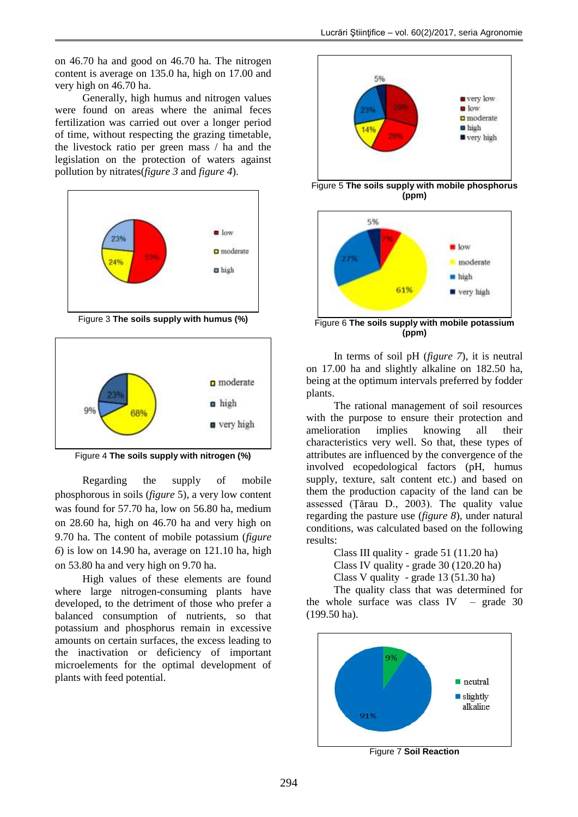on 46.70 ha and good on 46.70 ha. The nitrogen content is average on 135.0 ha, high on 17.00 and very high on 46.70 ha.

Generally, high humus and nitrogen values were found on areas where the animal feces fertilization was carried out over a longer period of time, without respecting the grazing timetable, the livestock ratio per green mass / ha and the legislation on the protection of waters against pollution by nitrates(*figure 3* and *figure 4*).



Figure 3 **The soils supply with humus (%)** 



Figure 4 **The soils supply with nitrogen (%)**

Regarding the supply of mobile phosphorous in soils (*figure* 5), a very low content was found for 57.70 ha, low on 56.80 ha, medium on 28.60 ha, high on 46.70 ha and very high on 9.70 ha. The content of mobile potassium (*figure 6*) is low on 14.90 ha, average on 121.10 ha, high on 53.80 ha and very high on 9.70 ha.

High values of these elements are found where large nitrogen-consuming plants have developed, to the detriment of those who prefer a balanced consumption of nutrients, so that potassium and phosphorus remain in excessive amounts on certain surfaces, the excess leading to the inactivation or deficiency of important microelements for the optimal development of plants with feed potential.



Figure 5 **The soils supply with mobile phosphorus (ppm)**



In terms of soil pH (*figure 7*), it is neutral on 17.00 ha and slightly alkaline on 182.50 ha, being at the optimum intervals preferred by fodder plants.

The rational management of soil resources with the purpose to ensure their protection and amelioration implies knowing all their characteristics very well. So that, these types of attributes are influenced by the convergence of the involved ecopedological factors (pH, humus supply, texture, salt content etc.) and based on them the production capacity of the land can be assessed (Ţărau D., 2003). The quality value regarding the pasture use (*figure 8*), under natural conditions, was calculated based on the following results:

> Class III quality - grade 51 (11.20 ha) Class IV quality - grade 30 (120.20 ha) Class V quality - grade 13 (51.30 ha)

The quality class that was determined for the whole surface was class  $IV$  – grade 30 (199.50 ha).



Figure 7 **Soil Reaction**